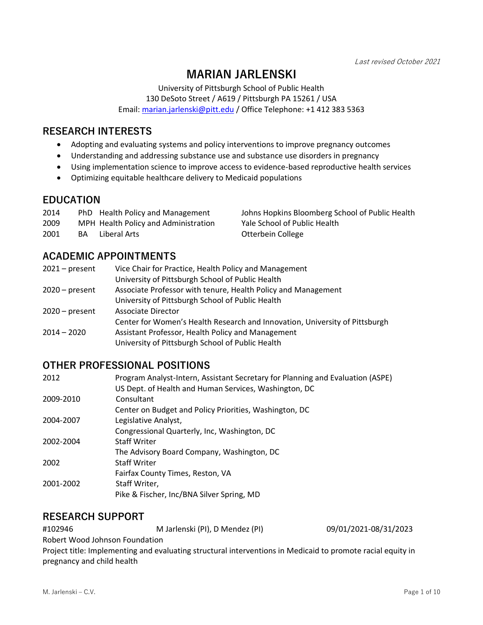Last revised October 2021

Johns Hopkins Bloomberg School of Public Health

Yale School of Public Health

# **MARIAN JARLENSKI**

University of Pittsburgh School of Public Health 130 DeSoto Street / A619 / Pittsburgh PA 15261 / USA Email: [marian.jarlenski@pitt.edu](mailto:marian.jarlenski@pitt.edu) / Office Telephone: +1 412 383 5363

#### **RESEARCH INTERESTS**

- Adopting and evaluating systems and policy interventions to improve pregnancy outcomes
- Understanding and addressing substance use and substance use disorders in pregnancy
- Using implementation science to improve access to evidence-based reproductive health services
- Optimizing equitable healthcare delivery to Medicaid populations

### **EDUCATION**

| 2014 | PhD Health Policy and Management     |
|------|--------------------------------------|
| 2009 | MPH Health Policy and Administration |

2001 BA Liberal Arts College

## **ACADEMIC APPOINTMENTS**

| 2021 – present | Vice Chair for Practice, Health Policy and Management                       |
|----------------|-----------------------------------------------------------------------------|
|                | University of Pittsburgh School of Public Health                            |
| 2020 – present | Associate Professor with tenure, Health Policy and Management               |
|                | University of Pittsburgh School of Public Health                            |
| 2020 – present | Associate Director                                                          |
|                | Center for Women's Health Research and Innovation, University of Pittsburgh |
| 2014 – 2020    | Assistant Professor, Health Policy and Management                           |
|                | University of Pittsburgh School of Public Health                            |

### **OTHER PROFESSIONAL POSITIONS**

| 2012      | Program Analyst-Intern, Assistant Secretary for Planning and Evaluation (ASPE) |
|-----------|--------------------------------------------------------------------------------|
|           | US Dept. of Health and Human Services, Washington, DC                          |
| 2009-2010 | Consultant                                                                     |
|           | Center on Budget and Policy Priorities, Washington, DC                         |
| 2004-2007 | Legislative Analyst,                                                           |
|           | Congressional Quarterly, Inc, Washington, DC                                   |
| 2002-2004 | <b>Staff Writer</b>                                                            |
|           | The Advisory Board Company, Washington, DC                                     |
| 2002      | <b>Staff Writer</b>                                                            |
|           | Fairfax County Times, Reston, VA                                               |
| 2001-2002 | Staff Writer,                                                                  |
|           | Pike & Fischer, Inc/BNA Silver Spring, MD                                      |

### **RESEARCH SUPPORT**

#102946 M Jarlenski (PI), D Mendez (PI) 09/01/2021-08/31/2023 Robert Wood Johnson Foundation

Project title: Implementing and evaluating structural interventions in Medicaid to promote racial equity in pregnancy and child health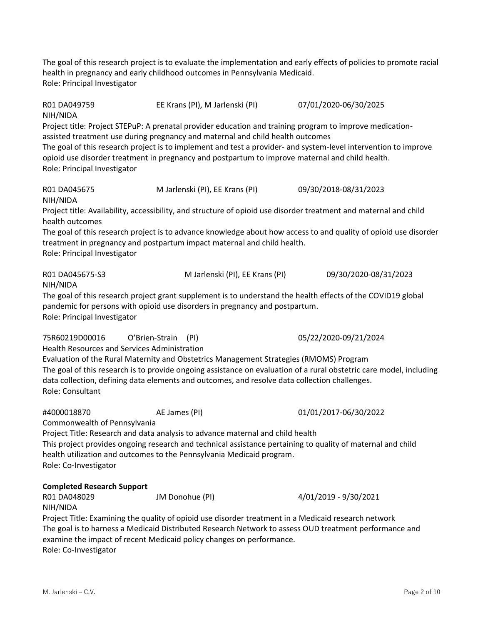The goal of this research project is to evaluate the implementation and early effects of policies to promote racial health in pregnancy and early childhood outcomes in Pennsylvania Medicaid. Role: Principal Investigator

R01 DA049759 EE Krans (PI), M Jarlenski (PI) 07/01/2020-06/30/2025 NIH/NIDA Project title: Project STEPuP: A prenatal provider education and training program to improve medicationassisted treatment use during pregnancy and maternal and child health outcomes The goal of this research project is to implement and test a provider- and system-level intervention to improve opioid use disorder treatment in pregnancy and postpartum to improve maternal and child health. Role: Principal Investigator R01 DA045675 M Jarlenski (PI), EE Krans (PI) 09/30/2018-08/31/2023 NIH/NIDA Project title: Availability, accessibility, and structure of opioid use disorder treatment and maternal and child health outcomes The goal of this research project is to advance knowledge about how access to and quality of opioid use disorder treatment in pregnancy and postpartum impact maternal and child health. Role: Principal Investigator R01 DA045675-S3 M Jarlenski (PI), EE Krans (PI) 09/30/2020-08/31/2023 NIH/NIDA The goal of this research project grant supplement is to understand the health effects of the COVID19 global pandemic for persons with opioid use disorders in pregnancy and postpartum. Role: Principal Investigator 75R60219D00016 O'Brien-Strain (PI) 05/22/2020-09/21/2024 Health Resources and Services Administration Evaluation of the Rural Maternity and Obstetrics Management Strategies (RMOMS) Program The goal of this research is to provide ongoing assistance on evaluation of a rural obstetric care model, including data collection, defining data elements and outcomes, and resolve data collection challenges. Role: Consultant #4000018870 AE James (PI) 01/01/2017-06/30/2022 Commonwealth of Pennsylvania Project Title: Research and data analysis to advance maternal and child health This project provides ongoing research and technical assistance pertaining to quality of maternal and child health utilization and outcomes to the Pennsylvania Medicaid program. Role: Co-Investigator **Completed Research Support** R01 DA048029 JM Donohue (PI) 4/01/2019 - 9/30/2021 NIH/NIDA

Project Title: Examining the quality of opioid use disorder treatment in a Medicaid research network The goal is to harness a Medicaid Distributed Research Network to assess OUD treatment performance and examine the impact of recent Medicaid policy changes on performance. Role: Co-Investigator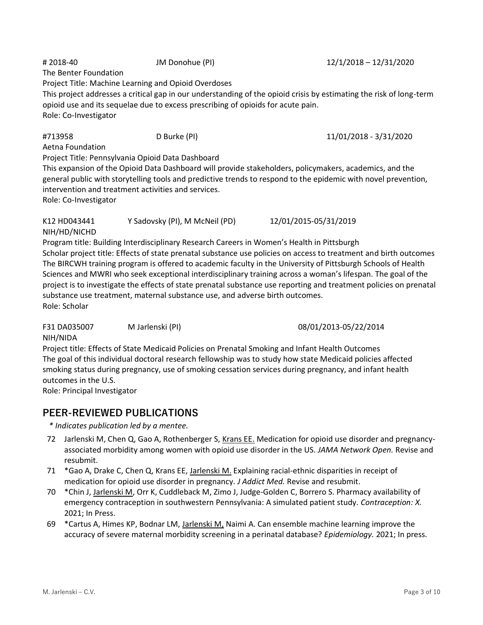# 2018-40 JM Donohue (PI) 12/1/2018 – 12/31/2020 The Benter Foundation Project Title: Machine Learning and Opioid Overdoses This project addresses a critical gap in our understanding of the opioid crisis by estimating the risk of long-term opioid use and its sequelae due to excess prescribing of opioids for acute pain. Role: Co-Investigator

#### #713958 D Burke (PI) 11/01/2018 - 3/31/2020

Aetna Foundation Project Title: Pennsylvania Opioid Data Dashboard

This expansion of the Opioid Data Dashboard will provide stakeholders, policymakers, academics, and the general public with storytelling tools and predictive trends to respond to the epidemic with novel prevention, intervention and treatment activities and services.

Role: Co-Investigator

K12 HD043441 Y Sadovsky (PI), M McNeil (PD) 12/01/2015-05/31/2019 NIH/HD/NICHD Program title: Building Interdisciplinary Research Careers in Women's Health in Pittsburgh

Scholar project title: Effects of state prenatal substance use policies on access to treatment and birth outcomes The BIRCWH training program is offered to academic faculty in the University of Pittsburgh Schools of Health Sciences and MWRI who seek exceptional interdisciplinary training across a woman's lifespan. The goal of the project is to investigate the effects of state prenatal substance use reporting and treatment policies on prenatal substance use treatment, maternal substance use, and adverse birth outcomes. Role: Scholar

F31 DA035007 M Jarlenski (PI) 08/01/2013-05/22/2014

#### NIH/NIDA

Project title: Effects of State Medicaid Policies on Prenatal Smoking and Infant Health Outcomes The goal of this individual doctoral research fellowship was to study how state Medicaid policies affected smoking status during pregnancy, use of smoking cessation services during pregnancy, and infant health outcomes in the U.S.

Role: Principal Investigator

## **PEER-REVIEWED PUBLICATIONS**

*\* Indicates publication led by a mentee.*

- 72 Jarlenski M, Chen Q, Gao A, Rothenberger S, Krans EE. Medication for opioid use disorder and pregnancyassociated morbidity among women with opioid use disorder in the US. *JAMA Network Open.* Revise and resubmit.
- 71 \*Gao A, Drake C, Chen Q, Krans EE, Jarlenski M. Explaining racial-ethnic disparities in receipt of medication for opioid use disorder in pregnancy. *J Addict Med.* Revise and resubmit.
- 70 \*Chin J, Jarlenski M, Orr K, Cuddleback M, Zimo J, Judge-Golden C, Borrero S. Pharmacy availability of emergency contraception in southwestern Pennsylvania: A simulated patient study. *Contraception: X.* 2021; In Press.
- 69 \*Cartus A, Himes KP, Bodnar LM, Jarlenski M, Naimi A. Can ensemble machine learning improve the accuracy of severe maternal morbidity screening in a perinatal database? *Epidemiology.* 2021; In press.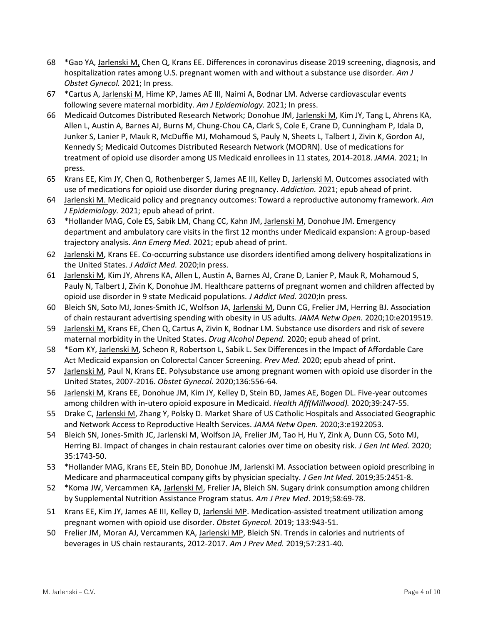- 68 \*Gao YA, Jarlenski M, Chen Q, Krans EE. Differences in coronavirus disease 2019 screening, diagnosis, and hospitalization rates among U.S. pregnant women with and without a substance use disorder. *Am J Obstet Gynecol.* 2021; In press.
- 67 \*Cartus A, Jarlenski M, Hime KP, James AE III, Naimi A, Bodnar LM. Adverse cardiovascular events following severe maternal morbidity. *Am J Epidemiology.* 2021; In press.
- 66 Medicaid Outcomes Distributed Research Network; Donohue JM, Jarlenski M, Kim JY, Tang L, Ahrens KA, Allen L, Austin A, Barnes AJ, Burns M, Chung-Chou CA, Clark S, Cole E, Crane D, Cunningham P, Idala D, Junker S, Lanier P, Mauk R, McDuffie MJ, Mohamoud S, Pauly N, Sheets L, Talbert J, Zivin K, Gordon AJ, Kennedy S; Medicaid Outcomes Distributed Research Network (MODRN). Use of medications for treatment of opioid use disorder among US Medicaid enrollees in 11 states, 2014-2018. *JAMA.* 2021; In press.
- 65 Krans EE, Kim JY, Chen Q, Rothenberger S, James AE III, Kelley D, Jarlenski M. Outcomes associated with use of medications for opioid use disorder during pregnancy. *Addiction.* 2021; epub ahead of print.
- 64 Jarlenski M. Medicaid policy and pregnancy outcomes: Toward a reproductive autonomy framework. *Am J Epidemiology.* 2021; epub ahead of print.
- 63 \*Hollander MAG, Cole ES, Sabik LM, Chang CC, Kahn JM, Jarlenski M, Donohue JM. Emergency department and ambulatory care visits in the first 12 months under Medicaid expansion: A group-based trajectory analysis. *Ann Emerg Med.* 2021; epub ahead of print.
- 62 Jarlenski M, Krans EE. Co-occurring substance use disorders identified among delivery hospitalizations in the United States. *J Addict Med.* 2020;In press.
- 61 Jarlenski M, Kim JY, Ahrens KA, Allen L, Austin A, Barnes AJ, Crane D, Lanier P, Mauk R, Mohamoud S, Pauly N, Talbert J, Zivin K, Donohue JM. Healthcare patterns of pregnant women and children affected by opioid use disorder in 9 state Medicaid populations. *J Addict Med.* 2020;In press.
- 60 Bleich SN, Soto MJ, Jones-Smith JC, Wolfson JA, Jarlenski M, Dunn CG, Frelier JM, Herring BJ. Association of chain restaurant advertising spending with obesity in US adults. *JAMA Netw Open.* 2020;10:e2019519.
- 59 Jarlenski M, Krans EE, Chen Q, Cartus A, Zivin K, Bodnar LM. Substance use disorders and risk of severe maternal morbidity in the United States. *Drug Alcohol Depend.* 2020; epub ahead of print.
- 58 \*Eom KY, Jarlenski M, Scheon R, Robertson L, Sabik L. Sex Differences in the Impact of Affordable Care Act Medicaid expansion on Colorectal Cancer Screening. *Prev Med.* 2020; epub ahead of print.
- 57 Jarlenski M, Paul N, Krans EE. Polysubstance use among pregnant women with opioid use disorder in the United States, 2007-2016. *Obstet Gynecol.* 2020;136:556-64.
- 56 Jarlenski M, Krans EE, Donohue JM, Kim JY, Kelley D, Stein BD, James AE, Bogen DL. Five-year outcomes among children with in-utero opioid exposure in Medicaid. *Health Aff(Millwood).* 2020;39:247-55.
- 55 Drake C, Jarlenski M, Zhang Y, Polsky D. Market Share of US Catholic Hospitals and Associated Geographic and Network Access to Reproductive Health Services. *JAMA Netw Open.* 2020;3:e1922053.
- 54 Bleich SN, Jones-Smith JC, Jarlenski M, Wolfson JA, Frelier JM, Tao H, Hu Y, Zink A, Dunn CG, Soto MJ, Herring BJ. Impact of changes in chain restaurant calories over time on obesity risk. *J Gen Int Med.* 2020; 35:1743-50.
- 53 \*Hollander MAG, Krans EE, Stein BD, Donohue JM, Jarlenski M. Association between opioid prescribing in Medicare and pharmaceutical company gifts by physician specialty. *J Gen Int Med.* 2019;35:2451-8.
- 52 \*Koma JW, Vercammen KA, Jarlenski M, Frelier JA, Bleich SN. Sugary drink consumption among children by Supplemental Nutrition Assistance Program status. *Am J Prev Med*. 2019;58:69-78.
- 51 Krans EE, Kim JY, James AE III, Kelley D, Jarlenski MP. Medication-assisted treatment utilization among pregnant women with opioid use disorder. *Obstet Gynecol.* 2019; 133:943-51.
- 50 Frelier JM, Moran AJ, Vercammen KA, Jarlenski MP, Bleich SN. Trends in calories and nutrients of beverages in US chain restaurants, 2012-2017. *Am J Prev Med.* 2019;57:231-40.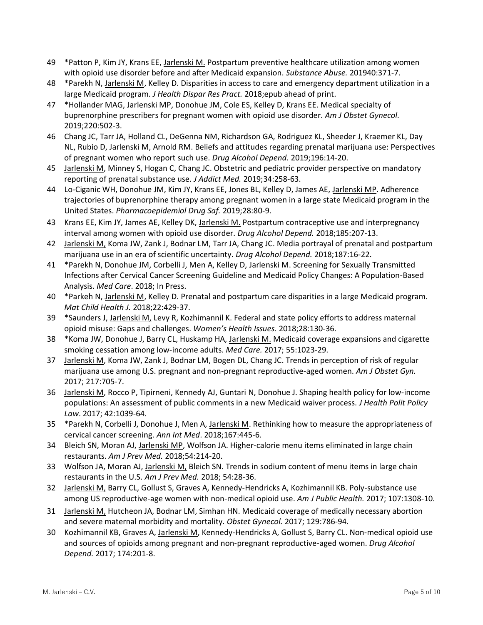- 49 \*Patton P, Kim JY, Krans EE, Jarlenski M. Postpartum preventive healthcare utilization among women with opioid use disorder before and after Medicaid expansion. *Substance Abuse.* 201940:371-7.
- 48 \*Parekh N, Jarlenski M, Kelley D. Disparities in access to care and emergency department utilization in a large Medicaid program. *J Health Dispar Res Pract.* 2018;epub ahead of print.
- 47 \*Hollander MAG, Jarlenski MP, Donohue JM, Cole ES, Kelley D, Krans EE. Medical specialty of buprenorphine prescribers for pregnant women with opioid use disorder. *Am J Obstet Gynecol.*  2019;220:502-3.
- 46 Chang JC, Tarr JA, Holland CL, DeGenna NM, Richardson GA, Rodriguez KL, Sheeder J, Kraemer KL, Day NL, Rubio D, Jarlenski M, Arnold RM. Beliefs and attitudes regarding prenatal marijuana use: Perspectives of pregnant women who report such use. *Drug Alcohol Depend.* 2019;196:14-20.
- 45 Jarlenski M, Minney S, Hogan C, Chang JC. Obstetric and pediatric provider perspective on mandatory reporting of prenatal substance use. *J Addict Med.* 2019;34:258-63.
- 44 Lo-Ciganic WH, Donohue JM, Kim JY, Krans EE, Jones BL, Kelley D, James AE, Jarlenski MP. Adherence trajectories of buprenorphine therapy among pregnant women in a large state Medicaid program in the United States. *Pharmacoepidemiol Drug Saf.* 2019;28:80-9.
- 43 Krans EE, Kim JY, James AE, Kelley DK, Jarlenski M. Postpartum contraceptive use and interpregnancy interval among women with opioid use disorder. *Drug Alcohol Depend.* 2018;185:207-13.
- 42 Jarlenski M, Koma JW, Zank J, Bodnar LM, Tarr JA, Chang JC. Media portrayal of prenatal and postpartum marijuana use in an era of scientific uncertainty. *Drug Alcohol Depend.* 2018;187:16-22.
- 41 \*Parekh N, Donohue JM, Corbelli J, Men A, Kelley D, Jarlenski M. Screening for Sexually Transmitted Infections after Cervical Cancer Screening Guideline and Medicaid Policy Changes: A Population-Based Analysis. *Med Care*. 2018; In Press.
- 40 \*Parkeh N, Jarlenski M, Kelley D. Prenatal and postpartum care disparities in a large Medicaid program. *Mat Child Health J.* 2018;22:429-37.
- 39 \*Saunders J, Jarlenski M, Levy R, Kozhimannil K. Federal and state policy efforts to address maternal opioid misuse: Gaps and challenges. *Women's Health Issues.* 2018;28:130-36.
- 38 \*Koma JW, Donohue J, Barry CL, Huskamp HA, Jarlenski M. Medicaid coverage expansions and cigarette smoking cessation among low-income adults. *Med Care.* 2017; 55:1023-29.
- 37 Jarlenski M, Koma JW, Zank J, Bodnar LM, Bogen DL, Chang JC. Trends in perception of risk of regular marijuana use among U.S. pregnant and non-pregnant reproductive-aged women. *Am J Obstet Gyn.*  2017; 217:705-7.
- 36 Jarlenski M, Rocco P, Tipirneni, Kennedy AJ, Guntari N, Donohue J. Shaping health policy for low-income populations: An assessment of public comments in a new Medicaid waiver process. *J Health Polit Policy Law*. 2017; 42:1039-64.
- 35 \*Parekh N, Corbelli J, Donohue J, Men A, Jarlenski M. Rethinking how to measure the appropriateness of cervical cancer screening. *Ann Int Med*. 2018;167:445-6.
- 34 Bleich SN, Moran AJ, Jarlenski MP, Wolfson JA. Higher-calorie menu items eliminated in large chain restaurants. *Am J Prev Med.* 2018;54:214-20.
- 33 Wolfson JA, Moran AJ, Jarlenski M, Bleich SN. Trends in sodium content of menu items in large chain restaurants in the U.S. *Am J Prev Med.* 2018; 54:28-36.
- 32 Jarlenski M, Barry CL, Gollust S, Graves A, Kennedy-Hendricks A, Kozhimannil KB. Poly-substance use among US reproductive-age women with non-medical opioid use. *Am J Public Health.* 2017; 107:1308-10.
- 31 Jarlenski M, Hutcheon JA, Bodnar LM, Simhan HN. Medicaid coverage of medically necessary abortion and severe maternal morbidity and mortality. *Obstet Gynecol.* 2017; 129:786-94.
- 30 Kozhimannil KB, Graves A, Jarlenski M, Kennedy-Hendricks A, Gollust S, Barry CL. Non-medical opioid use and sources of opioids among pregnant and non-pregnant reproductive-aged women. *Drug Alcohol Depend.* 2017; 174:201-8.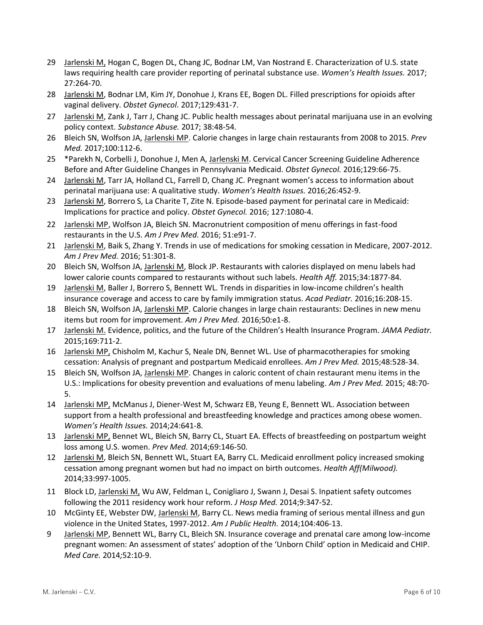- 29 Jarlenski M, Hogan C, Bogen DL, Chang JC, Bodnar LM, Van Nostrand E. Characterization of U.S. state laws requiring health care provider reporting of perinatal substance use. *Women's Health Issues.* 2017; 27:264-70.
- 28 Jarlenski M, Bodnar LM, Kim JY, Donohue J, Krans EE, Bogen DL. Filled prescriptions for opioids after vaginal delivery. *Obstet Gynecol.* 2017;129:431-7.
- 27 Jarlenski M, Zank J, Tarr J, Chang JC. Public health messages about perinatal marijuana use in an evolving policy context. *Substance Abuse.* 2017; 38:48-54.
- 26 Bleich SN, Wolfson JA, Jarlenski MP. Calorie changes in large chain restaurants from 2008 to 2015. *Prev Med.* 2017;100:112-6.
- 25 \*Parekh N, Corbelli J, Donohue J, Men A, Jarlenski M. Cervical Cancer Screening Guideline Adherence Before and After Guideline Changes in Pennsylvania Medicaid. *Obstet Gynecol.* 2016;129:66-75.
- 24 Jarlenski M, Tarr JA, Holland CL, Farrell D, Chang JC. Pregnant women's access to information about perinatal marijuana use: A qualitative study. *Women's Health Issues.* 2016;26:452-9.
- 23 Jarlenski M, Borrero S, La Charite T, Zite N. Episode-based payment for perinatal care in Medicaid: Implications for practice and policy. *Obstet Gynecol.* 2016; 127:1080-4.
- 22 Jarlenski MP, Wolfson JA, Bleich SN. Macronutrient composition of menu offerings in fast-food restaurants in the U.S. *Am J Prev Med.* 2016; 51:e91-7.
- 21 Jarlenski M, Baik S, Zhang Y. Trends in use of medications for smoking cessation in Medicare, 2007-2012. *Am J Prev Med.* 2016; 51:301-8.
- 20 Bleich SN, Wolfson JA, Jarlenski M, Block JP. Restaurants with calories displayed on menu labels had lower calorie counts compared to restaurants without such labels. *Health Aff.* 2015;34:1877-84.
- 19 Jarlenski M, Baller J, Borrero S, Bennett WL. Trends in disparities in low-income children's health insurance coverage and access to care by family immigration status. *Acad Pediatr.* 2016;16:208-15.
- 18 Bleich SN, Wolfson JA, Jarlenski MP. Calorie changes in large chain restaurants: Declines in new menu items but room for improvement. *Am J Prev Med.* 2016;50:e1-8.
- 17 Jarlenski M. Evidence, politics, and the future of the Children's Health Insurance Program. *JAMA Pediatr.* 2015;169:711-2.
- 16 Jarlenski MP, Chisholm M, Kachur S, Neale DN, Bennet WL. Use of pharmacotherapies for smoking cessation: Analysis of pregnant and postpartum Medicaid enrollees. *Am J Prev Med.* 2015;48:528-34.
- 15 Bleich SN, Wolfson JA, Jarlenski MP. Changes in caloric content of chain restaurant menu items in the U.S.: Implications for obesity prevention and evaluations of menu labeling. *Am J Prev Med.* 2015; 48:70- 5.
- 14 Jarlenski MP, McManus J, Diener-West M, Schwarz EB, Yeung E, Bennett WL. Association between support from a health professional and breastfeeding knowledge and practices among obese women. *Women's Health Issues.* 2014;24:641-8.
- 13 Jarlenski MP, Bennet WL, Bleich SN, Barry CL, Stuart EA. Effects of breastfeeding on postpartum weight loss among U.S. women. *Prev Med.* 2014;69:146-50.
- 12 Jarlenski M, Bleich SN, Bennett WL, Stuart EA, Barry CL. Medicaid enrollment policy increased smoking cessation among pregnant women but had no impact on birth outcomes. *Health Aff(Milwood).*  2014;33:997-1005.
- 11 Block LD, Jarlenski M, Wu AW, Feldman L, Conigliaro J, Swann J, Desai S. Inpatient safety outcomes following the 2011 residency work hour reform. *J Hosp Med.* 2014;9:347-52.
- 10 McGinty EE, Webster DW, Jarlenski M, Barry CL. News media framing of serious mental illness and gun violence in the United States, 1997-2012. *Am J Public Health.* 2014;104:406-13.
- 9 Jarlenski MP, Bennett WL, Barry CL, Bleich SN. Insurance coverage and prenatal care among low-income pregnant women: An assessment of states' adoption of the 'Unborn Child' option in Medicaid and CHIP. *Med Care.* 2014*;*52:10-9.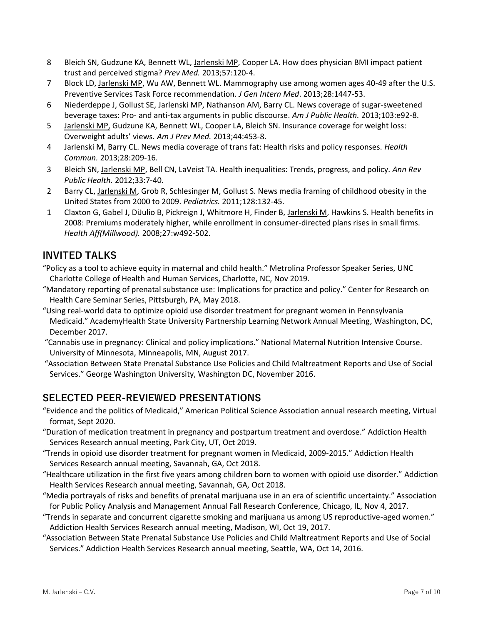- 8 Bleich SN, Gudzune KA, Bennett WL, Jarlenski MP, Cooper LA. How does physician BMI impact patient trust and perceived stigma? *Prev Med.* 2013;57:120-4.
- 7 Block LD, Jarlenski MP, Wu AW, Bennett WL. Mammography use among women ages 40-49 after the U.S. Preventive Services Task Force recommendation. *J Gen Intern Med*. 2013;28:1447-53.
- 6 Niederdeppe J, Gollust SE, Jarlenski MP, Nathanson AM, Barry CL. News coverage of sugar-sweetened beverage taxes: Pro- and anti-tax arguments in public discourse. *Am J Public Health.* 2013;103:e92-8.
- 5 Jarlenski MP, Gudzune KA, Bennett WL, Cooper LA, Bleich SN. Insurance coverage for weight loss: Overweight adults' views. *Am J Prev Med.* 2013;44:453-8.
- 4 Jarlenski M, Barry CL. News media coverage of trans fat: Health risks and policy responses. *Health Commun.* 2013;28:209-16.
- 3 Bleich SN, Jarlenski MP, Bell CN, LaVeist TA. Health inequalities: Trends, progress, and policy. *Ann Rev Public Health.* 2012;33:7-40.
- 2 Barry CL, Jarlenski M, Grob R, Schlesinger M, Gollust S. News media framing of childhood obesity in the United States from 2000 to 2009. *Pediatrics.* 2011;128:132-45.
- 1 Claxton G, Gabel J, DiJulio B, Pickreign J, Whitmore H, Finder B, Jarlenski M, Hawkins S. Health benefits in 2008: Premiums moderately higher, while enrollment in consumer-directed plans rises in small firms. *Health Aff(Millwood).* 2008;27:w492-502.

# **INVITED TALKS**

"Policy as a tool to achieve equity in maternal and child health." Metrolina Professor Speaker Series, UNC Charlotte College of Health and Human Services, Charlotte, NC, Nov 2019.

- "Mandatory reporting of prenatal substance use: Implications for practice and policy." Center for Research on Health Care Seminar Series, Pittsburgh, PA, May 2018.
- "Using real-world data to optimize opioid use disorder treatment for pregnant women in Pennsylvania Medicaid." AcademyHealth State University Partnership Learning Network Annual Meeting, Washington, DC, December 2017.
- "Cannabis use in pregnancy: Clinical and policy implications." National Maternal Nutrition Intensive Course. University of Minnesota, Minneapolis, MN, August 2017.
- "Association Between State Prenatal Substance Use Policies and Child Maltreatment Reports and Use of Social Services." George Washington University, Washington DC, November 2016.

# **SELECTED PEER-REVIEWED PRESENTATIONS**

- "Evidence and the politics of Medicaid," American Political Science Association annual research meeting, Virtual format, Sept 2020.
- "Duration of medication treatment in pregnancy and postpartum treatment and overdose." Addiction Health Services Research annual meeting, Park City, UT, Oct 2019.
- "Trends in opioid use disorder treatment for pregnant women in Medicaid, 2009-2015." Addiction Health Services Research annual meeting, Savannah, GA, Oct 2018.
- "Healthcare utilization in the first five years among children born to women with opioid use disorder." Addiction Health Services Research annual meeting, Savannah, GA, Oct 2018.
- "Media portrayals of risks and benefits of prenatal marijuana use in an era of scientific uncertainty." Association for Public Policy Analysis and Management Annual Fall Research Conference, Chicago, IL, Nov 4, 2017.
- "Trends in separate and concurrent cigarette smoking and marijuana us among US reproductive-aged women." Addiction Health Services Research annual meeting, Madison, WI, Oct 19, 2017.
- "Association Between State Prenatal Substance Use Policies and Child Maltreatment Reports and Use of Social Services." Addiction Health Services Research annual meeting, Seattle, WA, Oct 14, 2016.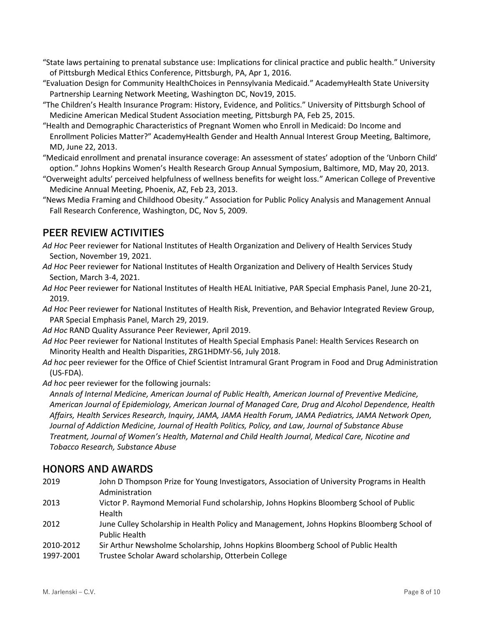- "State laws pertaining to prenatal substance use: Implications for clinical practice and public health." University of Pittsburgh Medical Ethics Conference, Pittsburgh, PA, Apr 1, 2016.
- "Evaluation Design for Community HealthChoices in Pennsylvania Medicaid." AcademyHealth State University Partnership Learning Network Meeting, Washington DC, Nov19, 2015.
- "The Children's Health Insurance Program: History, Evidence, and Politics." University of Pittsburgh School of Medicine American Medical Student Association meeting, Pittsburgh PA, Feb 25, 2015.
- "Health and Demographic Characteristics of Pregnant Women who Enroll in Medicaid: Do Income and Enrollment Policies Matter?" AcademyHealth Gender and Health Annual Interest Group Meeting, Baltimore, MD, June 22, 2013.
- "Medicaid enrollment and prenatal insurance coverage: An assessment of states' adoption of the 'Unborn Child' option." Johns Hopkins Women's Health Research Group Annual Symposium, Baltimore, MD, May 20, 2013.
- "Overweight adults' perceived helpfulness of wellness benefits for weight loss." American College of Preventive Medicine Annual Meeting, Phoenix, AZ, Feb 23, 2013.
- "News Media Framing and Childhood Obesity." Association for Public Policy Analysis and Management Annual Fall Research Conference, Washington, DC, Nov 5, 2009.

## **PEER REVIEW ACTIVITIES**

- *Ad Hoc* Peer reviewer for National Institutes of Health Organization and Delivery of Health Services Study Section, November 19, 2021.
- *Ad Hoc* Peer reviewer for National Institutes of Health Organization and Delivery of Health Services Study Section, March 3-4, 2021.
- *Ad Hoc* Peer reviewer for National Institutes of Health HEAL Initiative, PAR Special Emphasis Panel, June 20-21, 2019.
- *Ad Hoc* Peer reviewer for National Institutes of Health Risk, Prevention, and Behavior Integrated Review Group, PAR Special Emphasis Panel, March 29, 2019.
- *Ad Hoc* RAND Quality Assurance Peer Reviewer, April 2019.
- *Ad Hoc* Peer reviewer for National Institutes of Health Special Emphasis Panel: Health Services Research on Minority Health and Health Disparities, ZRG1HDMY-56, July 2018.
- *Ad hoc* peer reviewer for the Office of Chief Scientist Intramural Grant Program in Food and Drug Administration (US-FDA).
- Ad hoc peer reviewer for the following journals:

*Annals of Internal Medicine, American Journal of Public Health, American Journal of Preventive Medicine, American Journal of Epidemiology, American Journal of Managed Care, Drug and Alcohol Dependence, Health Affairs, Health Services Research, Inquiry, JAMA, JAMA Health Forum, JAMA Pediatrics, JAMA Network Open, Journal of Addiction Medicine, Journal of Health Politics, Policy, and Law, Journal of Substance Abuse Treatment, Journal of Women's Health, Maternal and Child Health Journal, Medical Care, Nicotine and Tobacco Research, Substance Abuse*

### **HONORS AND AWARDS**

- 2019 John D Thompson Prize for Young Investigators, Association of University Programs in Health Administration
- 2013 Victor P. Raymond Memorial Fund scholarship, Johns Hopkins Bloomberg School of Public Health
- 2012 June Culley Scholarship in Health Policy and Management, Johns Hopkins Bloomberg School of Public Health
- 2010-2012 Sir Arthur Newsholme Scholarship, Johns Hopkins Bloomberg School of Public Health
- 1997-2001 Trustee Scholar Award scholarship, Otterbein College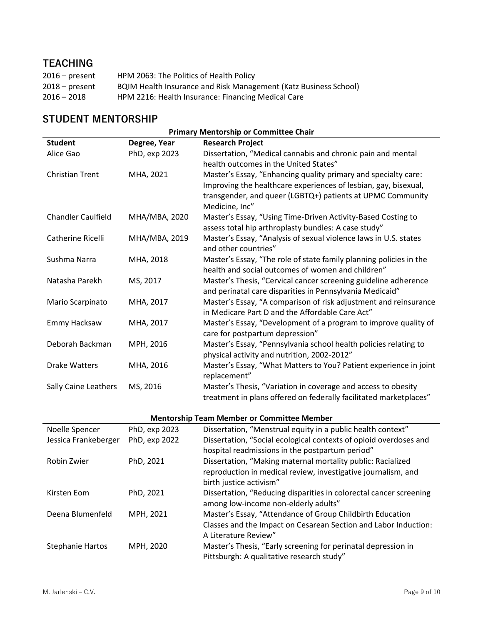# **TEACHING**

| $2016$ – present | HPM 2063: The Politics of Health Policy                          |
|------------------|------------------------------------------------------------------|
| $2018 - present$ | BQIM Health Insurance and Risk Management (Katz Business School) |
| $2016 - 2018$    | HPM 2216: Health Insurance: Financing Medical Care               |

# **STUDENT MENTORSHIP**

| <b>Primary Mentorship or Committee Chair</b> |               |                                                                    |  |  |
|----------------------------------------------|---------------|--------------------------------------------------------------------|--|--|
| <b>Student</b>                               | Degree, Year  | <b>Research Project</b>                                            |  |  |
| Alice Gao                                    | PhD, exp 2023 | Dissertation, "Medical cannabis and chronic pain and mental        |  |  |
|                                              |               | health outcomes in the United States"                              |  |  |
| <b>Christian Trent</b>                       | MHA, 2021     | Master's Essay, "Enhancing quality primary and specialty care:     |  |  |
|                                              |               | Improving the healthcare experiences of lesbian, gay, bisexual,    |  |  |
|                                              |               | transgender, and queer (LGBTQ+) patients at UPMC Community         |  |  |
|                                              |               | Medicine, Inc"                                                     |  |  |
| <b>Chandler Caulfield</b>                    | MHA/MBA, 2020 | Master's Essay, "Using Time-Driven Activity-Based Costing to       |  |  |
|                                              |               | assess total hip arthroplasty bundles: A case study"               |  |  |
| Catherine Ricelli                            | MHA/MBA, 2019 | Master's Essay, "Analysis of sexual violence laws in U.S. states   |  |  |
|                                              |               | and other countries"                                               |  |  |
| Sushma Narra                                 | MHA, 2018     | Master's Essay, "The role of state family planning policies in the |  |  |
|                                              |               | health and social outcomes of women and children"                  |  |  |
| Natasha Parekh                               | MS, 2017      | Master's Thesis, "Cervical cancer screening guideline adherence    |  |  |
|                                              |               | and perinatal care disparities in Pennsylvania Medicaid"           |  |  |
| Mario Scarpinato                             | MHA, 2017     | Master's Essay, "A comparison of risk adjustment and reinsurance   |  |  |
|                                              |               | in Medicare Part D and the Affordable Care Act"                    |  |  |
| Emmy Hacksaw                                 | MHA, 2017     | Master's Essay, "Development of a program to improve quality of    |  |  |
|                                              |               | care for postpartum depression"                                    |  |  |
| Deborah Backman                              | MPH, 2016     | Master's Essay, "Pennsylvania school health policies relating to   |  |  |
|                                              |               | physical activity and nutrition, 2002-2012"                        |  |  |
| <b>Drake Watters</b>                         | MHA, 2016     | Master's Essay, "What Matters to You? Patient experience in joint  |  |  |
|                                              |               | replacement"                                                       |  |  |
| Sally Caine Leathers                         | MS, 2016      | Master's Thesis, "Variation in coverage and access to obesity      |  |  |
|                                              |               | treatment in plans offered on federally facilitated marketplaces"  |  |  |

#### **Mentorship Team Member or Committee Member**

| <u>INCHIOLSHIP TEATH INCHINEL OF COMMITTEE</u> |               |                                                                    |
|------------------------------------------------|---------------|--------------------------------------------------------------------|
| Noelle Spencer                                 | PhD, exp 2023 | Dissertation, "Menstrual equity in a public health context"        |
| Jessica Frankeberger                           | PhD, exp 2022 | Dissertation, "Social ecological contexts of opioid overdoses and  |
|                                                |               | hospital readmissions in the postpartum period"                    |
| Robin Zwier                                    | PhD, 2021     | Dissertation, "Making maternal mortality public: Racialized        |
|                                                |               | reproduction in medical review, investigative journalism, and      |
|                                                |               | birth justice activism"                                            |
| Kirsten Eom                                    | PhD, 2021     | Dissertation, "Reducing disparities in colorectal cancer screening |
|                                                |               | among low-income non-elderly adults"                               |
| Deena Blumenfeld                               | MPH, 2021     | Master's Essay, "Attendance of Group Childbirth Education          |
|                                                |               | Classes and the Impact on Cesarean Section and Labor Induction:    |
|                                                |               | A Literature Review"                                               |
| <b>Stephanie Hartos</b>                        | MPH, 2020     | Master's Thesis, "Early screening for perinatal depression in      |
|                                                |               | Pittsburgh: A qualitative research study"                          |